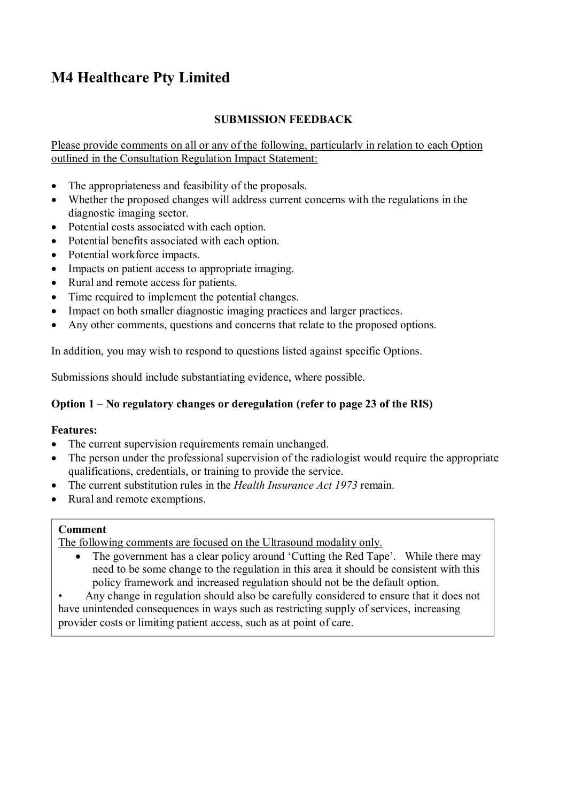# **M4 Healthcare Pty Limited**

### **SUBMISSION FEEDBACK**

Please provide comments on all or any of the following, particularly in relation to each Option outlined in the Consultation Regulation Impact Statement:

- The appropriateness and feasibility of the proposals.
- Whether the proposed changes will address current concerns with the regulations in the diagnostic imaging sector.
- Potential costs associated with each option.
- Potential benefits associated with each option.
- Potential workforce impacts.
- Impacts on patient access to appropriate imaging.
- Rural and remote access for patients.
- Time required to implement the potential changes.
- Impact on both smaller diagnostic imaging practices and larger practices.
- Any other comments, questions and concerns that relate to the proposed options.

In addition, you may wish to respond to questions listed against specific Options.

Submissions should include substantiating evidence, where possible.

### **Option 1 – No regulatory changes or deregulation (refer to page 23 of the RIS)**

### **Features:**

- The current supervision requirements remain unchanged.
- The person under the professional supervision of the radiologist would require the appropriate qualifications, credentials, or training to provide the service.
- The current substitution rules in the *Health Insurance Act 1973* remain.
- Rural and remote exemptions.

### **Comment**

The following comments are focused on the Ultrasound modality only.

- The government has a clear policy around 'Cutting the Red Tape'. While there may need to be some change to the regulation in this area it should be consistent with this policy framework and increased regulation should not be the default option.
- Any change in regulation should also be carefully considered to ensure that it does not have unintended consequences in ways such as restricting supply of services, increasing provider costs or limiting patient access, such as at point of care.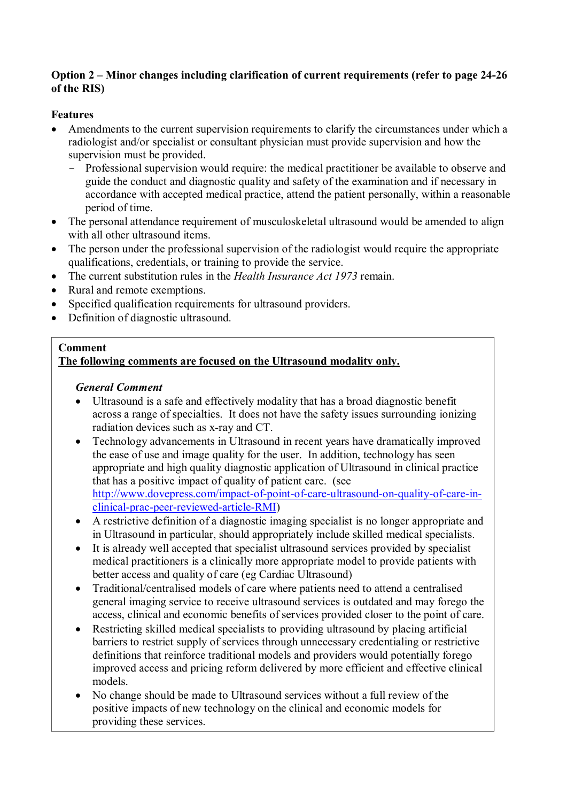### **Option 2 – Minor changes including clarification of current requirements (refer to page 24-26 of the RIS)**

### **Features**

- Amendments to the current supervision requirements to clarify the circumstances under which a radiologist and/or specialist or consultant physician must provide supervision and how the supervision must be provided.
	- Professional supervision would require: the medical practitioner be available to observe and guide the conduct and diagnostic quality and safety of the examination and if necessary in accordance with accepted medical practice, attend the patient personally, within a reasonable period of time.
- The personal attendance requirement of musculoskeletal ultrasound would be amended to align with all other ultrasound items.
- The person under the professional supervision of the radiologist would require the appropriate qualifications, credentials, or training to provide the service.
- The current substitution rules in the *Health Insurance Act 1973* remain.
- Rural and remote exemptions.
- Specified qualification requirements for ultrasound providers.
- Definition of diagnostic ultrasound.

### **Comment**

### **The following comments are focused on the Ultrasound modality only.**

### *General Comment*

- Ultrasound is a safe and effectively modality that has a broad diagnostic benefit across a range of specialties. It does not have the safety issues surrounding ionizing radiation devices such as x-ray and CT.
- Technology advancements in Ultrasound in recent years have dramatically improved the ease of use and image quality for the user. In addition, technology has seen appropriate and high quality diagnostic application of Ultrasound in clinical practice that has a positive impact of quality of patient care. (see http://www.dovepress.com/impact-of-point-of-care-ultrasound-on-quality-of-care-inclinical-prac-peer-reviewed-article-RMI)
- A restrictive definition of a diagnostic imaging specialist is no longer appropriate and in Ultrasound in particular, should appropriately include skilled medical specialists.
- It is already well accepted that specialist ultrasound services provided by specialist medical practitioners is a clinically more appropriate model to provide patients with better access and quality of care (eg Cardiac Ultrasound)
- Traditional/centralised models of care where patients need to attend a centralised general imaging service to receive ultrasound services is outdated and may forego the access, clinical and economic benefits of services provided closer to the point of care.
- Restricting skilled medical specialists to providing ultrasound by placing artificial barriers to restrict supply of services through unnecessary credentialing or restrictive definitions that reinforce traditional models and providers would potentially forego improved access and pricing reform delivered by more efficient and effective clinical models.
- No change should be made to Ultrasound services without a full review of the positive impacts of new technology on the clinical and economic models for providing these services.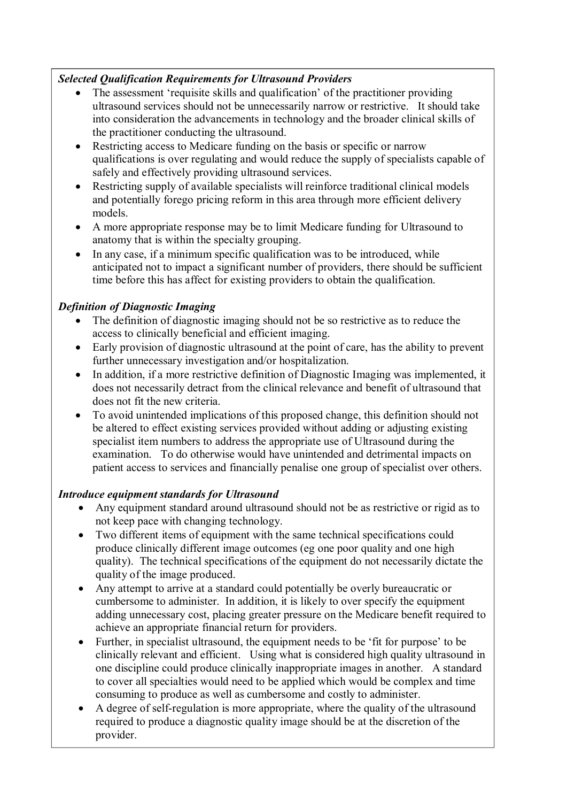### *Selected Qualification Requirements for Ultrasound Providers*

- The assessment 'requisite skills and qualification' of the practitioner providing ultrasound services should not be unnecessarily narrow or restrictive. It should take into consideration the advancements in technology and the broader clinical skills of the practitioner conducting the ultrasound.
- Restricting access to Medicare funding on the basis or specific or narrow qualifications is over regulating and would reduce the supply of specialists capable of safely and effectively providing ultrasound services.
- Restricting supply of available specialists will reinforce traditional clinical models and potentially forego pricing reform in this area through more efficient delivery models.
- A more appropriate response may be to limit Medicare funding for Ultrasound to anatomy that is within the specialty grouping.
- In any case, if a minimum specific qualification was to be introduced, while anticipated not to impact a significant number of providers, there should be sufficient time before this has affect for existing providers to obtain the qualification.

# *Definition of Diagnostic Imaging*

- The definition of diagnostic imaging should not be so restrictive as to reduce the access to clinically beneficial and efficient imaging.
- Early provision of diagnostic ultrasound at the point of care, has the ability to prevent further unnecessary investigation and/or hospitalization.
- In addition, if a more restrictive definition of Diagnostic Imaging was implemented, it does not necessarily detract from the clinical relevance and benefit of ultrasound that does not fit the new criteria.
- To avoid unintended implications of this proposed change, this definition should not be altered to effect existing services provided without adding or adjusting existing specialist item numbers to address the appropriate use of Ultrasound during the examination. To do otherwise would have unintended and detrimental impacts on patient access to services and financially penalise one group of specialist over others.

### *Introduce equipment standards for Ultrasound*

- Any equipment standard around ultrasound should not be as restrictive or rigid as to not keep pace with changing technology.
- Two different items of equipment with the same technical specifications could produce clinically different image outcomes (eg one poor quality and one high quality). The technical specifications of the equipment do not necessarily dictate the quality of the image produced.
- Any attempt to arrive at a standard could potentially be overly bureaucratic or cumbersome to administer. In addition, it is likely to over specify the equipment adding unnecessary cost, placing greater pressure on the Medicare benefit required to achieve an appropriate financial return for providers.
- Further, in specialist ultrasound, the equipment needs to be 'fit for purpose' to be clinically relevant and efficient. Using what is considered high quality ultrasound in one discipline could produce clinically inappropriate images in another. A standard to cover all specialties would need to be applied which would be complex and time consuming to produce as well as cumbersome and costly to administer.
- A degree of self-regulation is more appropriate, where the quality of the ultrasound required to produce a diagnostic quality image should be at the discretion of the provider.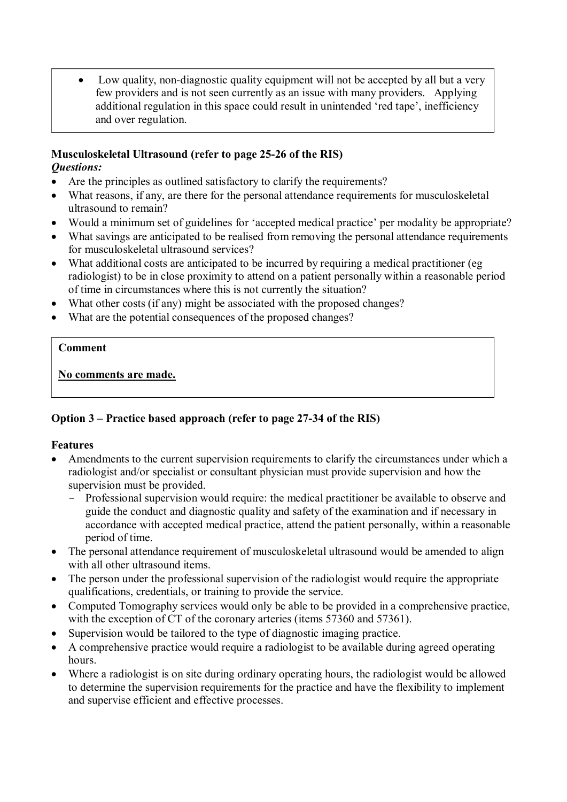• Low quality, non-diagnostic quality equipment will not be accepted by all but a very few providers and is not seen currently as an issue with many providers. Applying additional regulation in this space could result in unintended 'red tape', inefficiency and over regulation.

#### **Musculoskeletal Ultrasound (refer to page 25-26 of the RIS)**  *Questions:*

- Are the principles as outlined satisfactory to clarify the requirements?
- What reasons, if any, are there for the personal attendance requirements for musculoskeletal ultrasound to remain?
- Would a minimum set of guidelines for 'accepted medical practice' per modality be appropriate?
- What savings are anticipated to be realised from removing the personal attendance requirements for musculoskeletal ultrasound services?
- What additional costs are anticipated to be incurred by requiring a medical practitioner (eg radiologist) to be in close proximity to attend on a patient personally within a reasonable period of time in circumstances where this is not currently the situation?
- What other costs (if any) might be associated with the proposed changes?
- What are the potential consequences of the proposed changes?

### **Comment**

**No comments are made.**

### **Option 3 – Practice based approach (refer to page 27-34 of the RIS)**

### **Features**

- Amendments to the current supervision requirements to clarify the circumstances under which a radiologist and/or specialist or consultant physician must provide supervision and how the supervision must be provided.
	- Professional supervision would require: the medical practitioner be available to observe and guide the conduct and diagnostic quality and safety of the examination and if necessary in accordance with accepted medical practice, attend the patient personally, within a reasonable period of time.
- The personal attendance requirement of musculoskeletal ultrasound would be amended to align with all other ultrasound items.
- The person under the professional supervision of the radiologist would require the appropriate qualifications, credentials, or training to provide the service.
- Computed Tomography services would only be able to be provided in a comprehensive practice, with the exception of CT of the coronary arteries (items 57360 and 57361).
- Supervision would be tailored to the type of diagnostic imaging practice.
- A comprehensive practice would require a radiologist to be available during agreed operating hours.
- Where a radiologist is on site during ordinary operating hours, the radiologist would be allowed to determine the supervision requirements for the practice and have the flexibility to implement and supervise efficient and effective processes.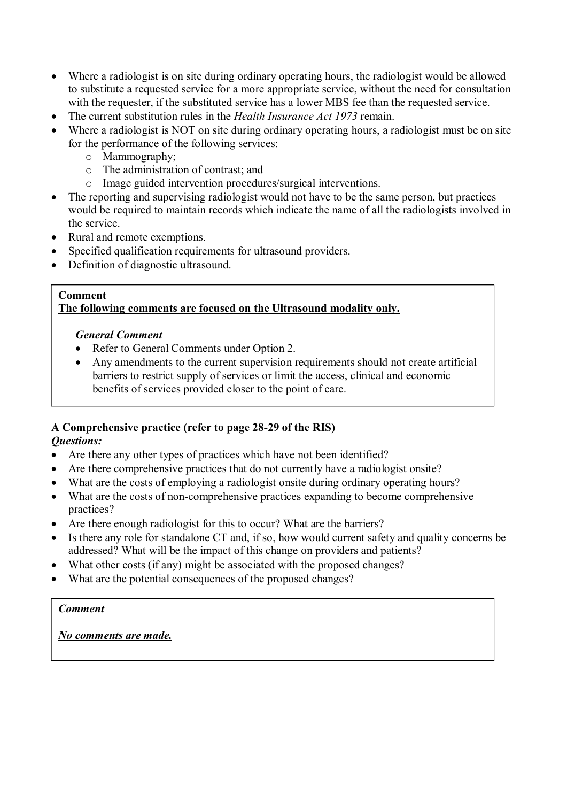- Where a radiologist is on site during ordinary operating hours, the radiologist would be allowed to substitute a requested service for a more appropriate service, without the need for consultation with the requester, if the substituted service has a lower MBS fee than the requested service.
- The current substitution rules in the *Health Insurance Act 1973* remain.
- Where a radiologist is NOT on site during ordinary operating hours, a radiologist must be on site for the performance of the following services:
	- o Mammography;
	- o The administration of contrast; and
	- o Image guided intervention procedures/surgical interventions.
- The reporting and supervising radiologist would not have to be the same person, but practices would be required to maintain records which indicate the name of all the radiologists involved in the service.
- Rural and remote exemptions.
- Specified qualification requirements for ultrasound providers.
- Definition of diagnostic ultrasound.

#### **Comment The following comments are focused on the Ultrasound modality only.**

#### *General Comment*

- Refer to General Comments under Option 2.
- Any amendments to the current supervision requirements should not create artificial barriers to restrict supply of services or limit the access, clinical and economic benefits of services provided closer to the point of care.

### **A Comprehensive practice (refer to page 28-29 of the RIS)**

### *Questions:*

- Are there any other types of practices which have not been identified?
- Are there comprehensive practices that do not currently have a radiologist onsite?
- What are the costs of employing a radiologist onsite during ordinary operating hours?
- What are the costs of non-comprehensive practices expanding to become comprehensive practices?
- Are there enough radiologist for this to occur? What are the barriers?
- Is there any role for standalone CT and, if so, how would current safety and quality concerns be addressed? What will be the impact of this change on providers and patients?
- What other costs (if any) might be associated with the proposed changes?
- What are the potential consequences of the proposed changes?

### *Comment*

*No comments are made.*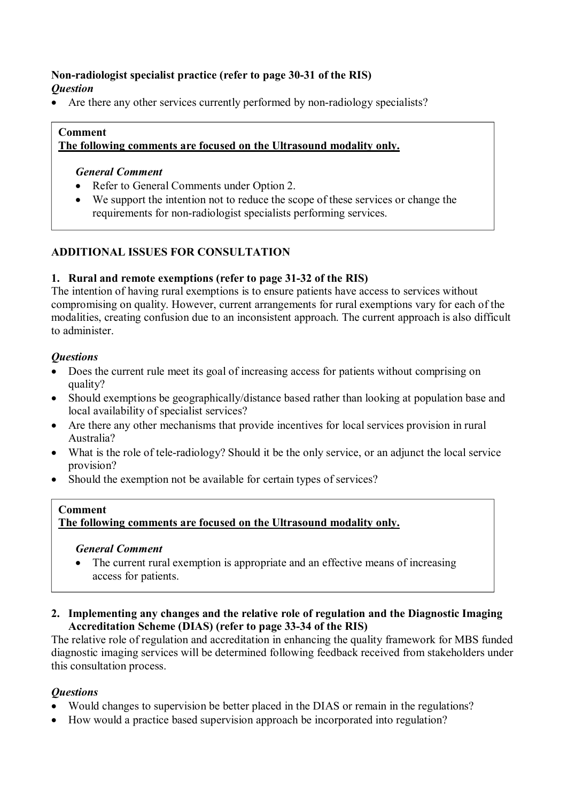### **Non-radiologist specialist practice (refer to page 30-31 of the RIS)**  *Question*

Are there any other services currently performed by non-radiology specialists?

#### **Comment The following comments are focused on the Ultrasound modality only.**

### *General Comment*

- Refer to General Comments under Option 2.
- We support the intention not to reduce the scope of these services or change the requirements for non-radiologist specialists performing services.

### **ADDITIONAL ISSUES FOR CONSULTATION**

### **1. Rural and remote exemptions (refer to page 31-32 of the RIS)**

The intention of having rural exemptions is to ensure patients have access to services without compromising on quality. However, current arrangements for rural exemptions vary for each of the modalities, creating confusion due to an inconsistent approach. The current approach is also difficult to administer.

### *Questions*

- Does the current rule meet its goal of increasing access for patients without comprising on quality?
- Should exemptions be geographically/distance based rather than looking at population base and local availability of specialist services?
- Are there any other mechanisms that provide incentives for local services provision in rural Australia?
- What is the role of tele-radiology? Should it be the only service, or an adjunct the local service provision?
- Should the exemption not be available for certain types of services?

### **Comment The following comments are focused on the Ultrasound modality only.**

### *General Comment*

- The current rural exemption is appropriate and an effective means of increasing access for patients.
- **2. Implementing any changes and the relative role of regulation and the Diagnostic Imaging Accreditation Scheme (DIAS) (refer to page 33-34 of the RIS)**

The relative role of regulation and accreditation in enhancing the quality framework for MBS funded diagnostic imaging services will be determined following feedback received from stakeholders under this consultation process.

### *Questions*

- Would changes to supervision be better placed in the DIAS or remain in the regulations?
- How would a practice based supervision approach be incorporated into regulation?